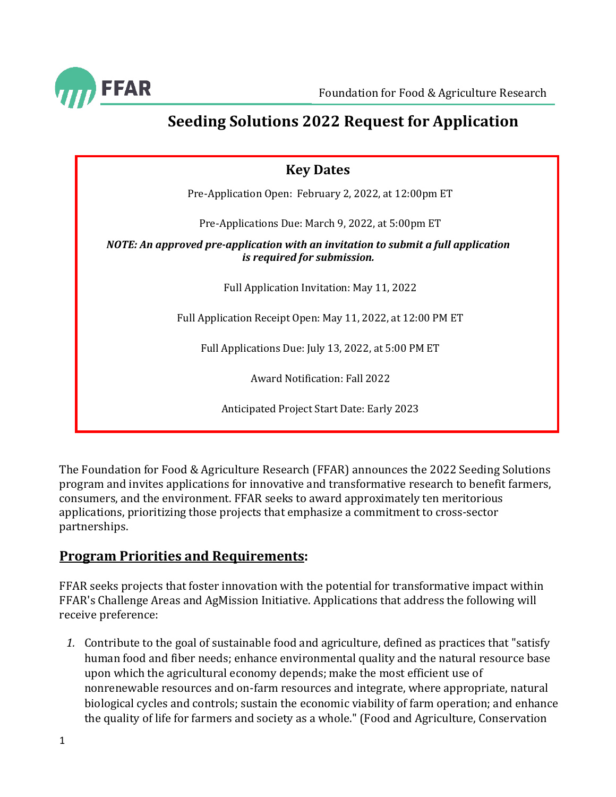

# <span id="page-0-0"></span>**Seeding Solutions 2022 Request for Application**

| <b>Key Dates</b>                                                                                                 |  |  |  |
|------------------------------------------------------------------------------------------------------------------|--|--|--|
| Pre-Application Open: February 2, 2022, at 12:00pm ET                                                            |  |  |  |
| Pre-Applications Due: March 9, 2022, at 5:00pm ET                                                                |  |  |  |
| NOTE: An approved pre-application with an invitation to submit a full application<br>is required for submission. |  |  |  |
| Full Application Invitation: May 11, 2022                                                                        |  |  |  |
| Full Application Receipt Open: May 11, 2022, at 12:00 PM ET                                                      |  |  |  |
| Full Applications Due: July 13, 2022, at 5:00 PM ET                                                              |  |  |  |
| <b>Award Notification: Fall 2022</b>                                                                             |  |  |  |
| Anticipated Project Start Date: Early 2023                                                                       |  |  |  |

The Foundation for Food & Agriculture Research (FFAR) announces the 2022 Seeding Solutions program and invites applications for innovative and transformative research to benefit farmers, consumers, and the environment. FFAR seeks to award approximately ten meritorious applications, prioritizing those projects that emphasize a commitment to cross-sector partnerships.

### **Program Priorities and Requirements:**

FFAR seeks projects that foster innovation with the potential for transformative impact within FFAR's Challenge Areas and AgMission Initiative. Applications that address the following will receive preference:

*1.* Contribute to the goal of sustainable food and agriculture, defined as practices that "satisfy human food and fiber needs; enhance environmental quality and the natural resource base upon which the agricultural economy depends; make the most efficient use of nonrenewable resources and on-farm resources and integrate, where appropriate, natural biological cycles and controls; sustain the economic viability of farm operation; and enhance the quality of life for farmers and society as a whole." (Food and Agriculture, Conservation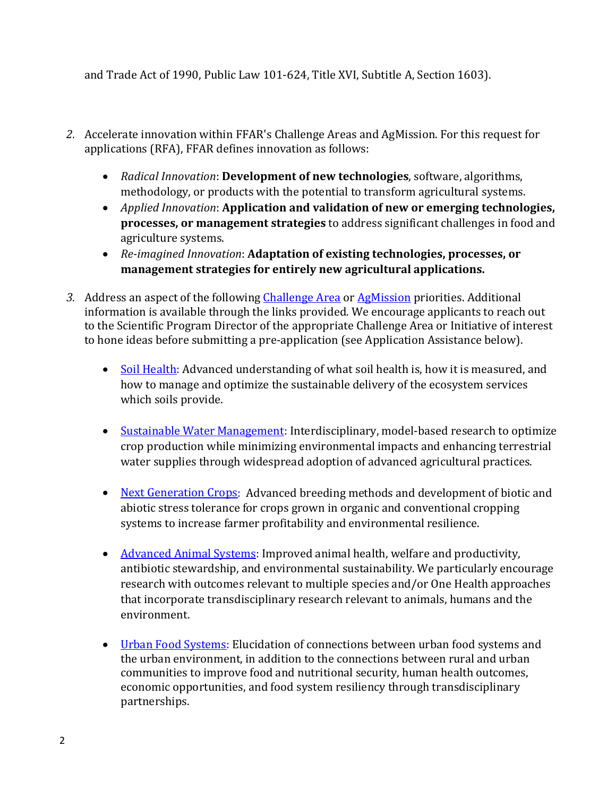and Trade Act of 1990, Public Law 101-624, Title XVI, Subtitle A, Section 1603).

- *2.* Accelerate innovation within FFAR's Challenge Areas and AgMission. For this request for applications (RFA), FFAR defines innovation as follows:
	- *Radical Innovation*: **Development of new technologies**, software, algorithms, methodology, or products with the potential to transform agricultural systems.
	- *Applied Innovation*: **Application and validation of new or emerging technologies, processes, or management strategies** to address significant challenges in food and agriculture systems.
	- *Re-imagined Innovation*: **Adaptation of existing technologies, processes, or management strategies for entirely new agricultural applications.**
- *3.* Address an aspect of the following [Challenge Area](https://foundationfar.org/what-we-do/#we-fund-pioneering-research) or [AgMission](https://foundationfar.org/agmission/) priorities. Additional information is available through the links provided. We encourage applicants to reach out to the Scientific Program Director of the appropriate Challenge Area or Initiative of interest to hone ideas before submitting a pre-application (see Application Assistance below).
	- [Soil Health:](#page-10-0) Advanced understanding of what soil health is, how it is measured, and how to manage and optimize the sustainable delivery of the ecosystem services which soils provide.
	- [Sustainable Water](#page-10-1) Management: Interdisciplinary, model-based research to optimize crop production while minimizing environmental impacts and enhancing terrestrial water supplies through widespread adoption of advanced agricultural practices.
	- [Next Generation](#page-11-0) Crops: Advanced breeding methods and development of biotic and abiotic stress tolerance for crops grown in organic and conventional cropping systems to increase farmer profitability and environmental resilience.
	- [Advanced Animal](#page-11-1) Systems: Improved animal health, welfare and productivity, antibiotic stewardship, and environmental sustainability. We particularly encourage research with outcomes relevant to multiple species and/or One Health approaches that incorporate transdisciplinary research relevant to animals, humans and the environment.
	- [Urban Food Systems:](#page-12-0) Elucidation of connections between urban food systems and the urban environment, in addition to the connections between rural and urban communities to improve food and nutritional security, human health outcomes, economic opportunities, and food system resiliency through transdisciplinary partnerships.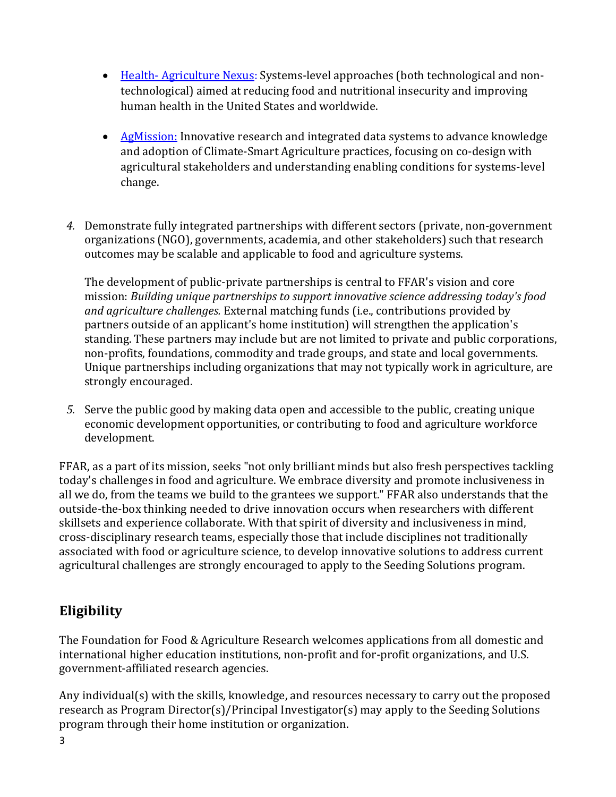- Health- [Agriculture](#page-12-1) Nexus: Systems-level approaches (both technological and nontechnological) aimed at reducing food and nutritional insecurity and improving human health in the United States and worldwide.
- [AgMission:](#page-13-0) Innovative research and integrated data systems to advance knowledge and adoption of Climate-Smart Agriculture practices, focusing on co-design with agricultural stakeholders and understanding enabling conditions for systems-level change.
- *4.* Demonstrate fully integrated partnerships with different sectors (private, non-government organizations (NGO), governments, academia, and other stakeholders) such that research outcomes may be scalable and applicable to food and agriculture systems.

The development of public-private partnerships is central to FFAR's vision and core mission: *Building unique partnerships to support innovative science addressing today's food and agriculture challenges.* External matching funds (i.e., contributions provided by partners outside of an applicant's home institution) will strengthen the application's standing. These partners may include but are not limited to private and public corporations, non-profits, foundations, commodity and trade groups, and state and local governments. Unique partnerships including organizations that may not typically work in agriculture, are strongly encouraged.

*5.* Serve the public good by making data open and accessible to the public, creating unique economic development opportunities, or contributing to food and agriculture workforce development.

FFAR, as a part of its mission, seeks "not only brilliant minds but also fresh perspectives tackling today's challenges in food and agriculture. We embrace diversity and promote inclusiveness in all we do, from the teams we build to the grantees we support." FFAR also understands that the outside-the-box thinking needed to drive innovation occurs when researchers with different skillsets and experience collaborate. With that spirit of diversity and inclusiveness in mind, cross-disciplinary research teams, especially those that include disciplines not traditionally associated with food or agriculture science, to develop innovative solutions to address current agricultural challenges are strongly encouraged to apply to the Seeding Solutions program.

## **Eligibility**

The Foundation for Food & Agriculture Research welcomes applications from all domestic and international higher education institutions, non-profit and for-profit organizations, and U.S. government-affiliated research agencies.

Any individual(s) with the skills, knowledge, and resources necessary to carry out the proposed research as Program Director(s)/Principal Investigator(s) may apply to the Seeding Solutions program through their home institution or organization.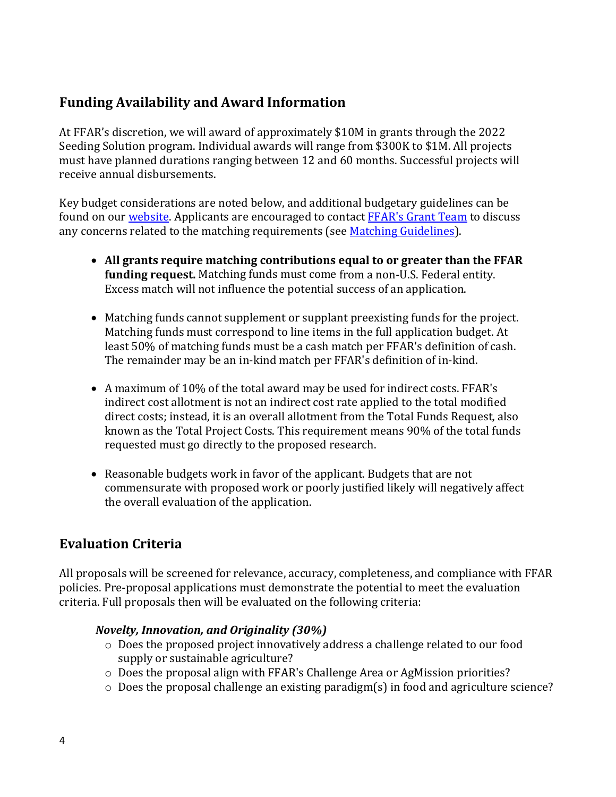## **Funding Availability and Award Information**

At FFAR's discretion, we will award of approximately \$10M in grants through the 2022 Seeding Solution program. Individual awards will range from \$300K to \$1M. All projects must have planned durations ranging between 12 and 60 months. Successful projects will receive annual disbursements.

Key budget considerations are noted below, and additional budgetary guidelines can be found on our *website*. Applicants are encouraged to contact FFAR['s Grant Team](mailto:grants@foundationfar.org) to discuss any concerns related to the matching requirements (se[e Matching Guidelines\)](https://foundationfar.org/grants-funding/resources/matching-funds/).

- **All grants require matching contributions equal to or greater than the FFAR funding request.** Matching funds must come from a non-U.S. Federal entity. Excess match will not influence the potential success of an application.
- Matching funds cannot supplement or supplant preexisting funds for the project. Matching funds must correspond to line items in the full application budget. At least 50% of matching funds must be a cash match per FFAR's definition of cash. The remainder may be an in-kind match per FFAR's definition of in-kind.
- A maximum of 10% of the total award may be used for indirect costs. FFAR's indirect cost allotment is not an indirect cost rate applied to the total modified direct costs; instead, it is an overall allotment from the Total Funds Request, also known as the Total Project Costs. This requirement means 90% of the total funds requested must go directly to the proposed research.
- Reasonable budgets work in favor of the applicant. Budgets that are not commensurate with proposed work or poorly justified likely will negatively affect the overall evaluation of the application.

## **Evaluation Criteria**

All proposals will be screened for relevance, accuracy, completeness, and compliance with FFAR policies. Pre-proposal applications must demonstrate the potential to meet the evaluation criteria. Full proposals then will be evaluated on the following criteria:

#### *Novelty, Innovation, and Originality (30%)*

- o Does the proposed project innovatively address a challenge related to our food supply or sustainable agriculture?
- o Does the proposal align with FFAR's Challenge Area or AgMission priorities?
- o Does the proposal challenge an existing paradigm(s) in food and agriculture science?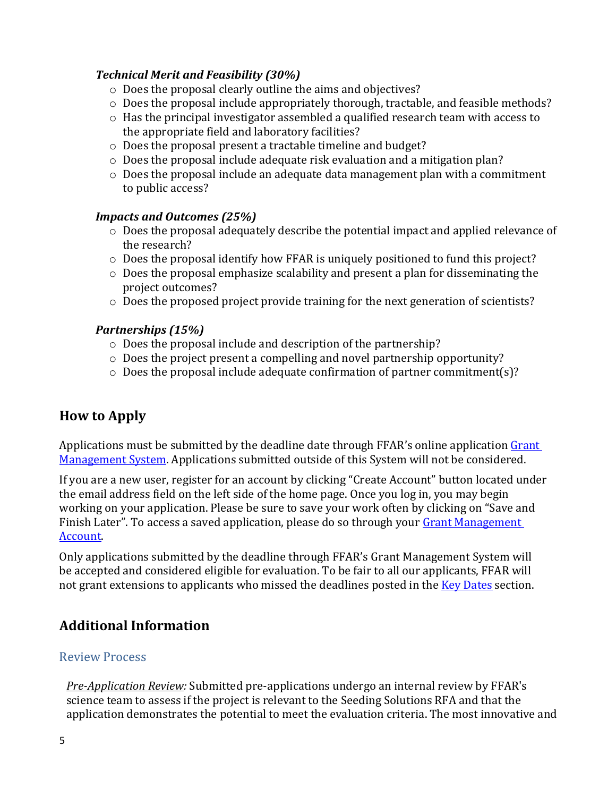#### *Technical Merit and Feasibility (30%)*

- o Does the proposal clearly outline the aims and objectives?
- o Does the proposal include appropriately thorough, tractable, and feasible methods?
- o Has the principal investigator assembled a qualified research team with access to the appropriate field and laboratory facilities?
- o Does the proposal present a tractable timeline and budget?
- o Does the proposal include adequate risk evaluation and a mitigation plan?
- o Does the proposal include an adequate data management plan with a commitment to public access?

### *Impacts and Outcomes (25%)*

- o Does the proposal adequately describe the potential impact and applied relevance of the research?
- o Does the proposal identify how FFAR is uniquely positioned to fund this project?
- o Does the proposal emphasize scalability and present a plan for disseminating the project outcomes?
- o Does the proposed project provide training for the next generation of scientists?

### *Partnerships (15%)*

- o Does the proposal include and description of the partnership?
- o Does the project present a compelling and novel partnership opportunity?
- o Does the proposal include adequate confirmation of partner commitment(s)?

## **How to Apply**

Applications must be submitted by the deadline date through FFAR's online application Grant [Management System.](https://www.grantrequest.com/SID_6242?SA=SNA&FID=35047) Applications submitted outside of this System will not be considered.

If you are a new user, register for an account by clicking "Create Account" button located under the email address field on the left side of the home page. Once you log in, you may begin working on your application. Please be sure to save your work often by clicking on "Save and Finish Later". To access a saved application, please do so through your Grant Management [Account.](https://www.grantrequest.com/SID_6242)

Only applications submitted by the deadline through FFAR's Grant Management System will be accepted and considered eligible for evaluation. To be fair to all our applicants, FFAR will not grant extensions to applicants who missed the deadlines posted in the [Key Dates](#page-0-0) section.

## **Additional Information**

### Review Process

*Pre-Application Review:* Submitted pre-applications undergo an internal review by FFAR's science team to assess if the project is relevant to the Seeding Solutions RFA and that the application demonstrates the potential to meet the evaluation criteria. The most innovative and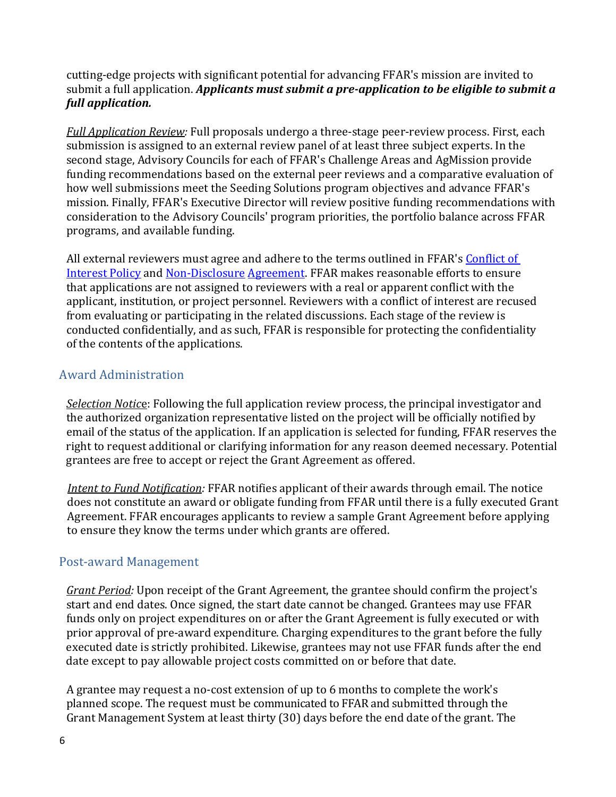cutting-edge projects with significant potential for advancing FFAR's mission are invited to submit a full application. *Applicants must submit a pre-application to be eligible to submit a full application.*

*Full Application Review:* Full proposals undergo a three-stage peer-review process. First, each submission is assigned to an external review panel of at least three subject experts. In the second stage, Advisory Councils for each of FFAR's Challenge Areas and AgMission provide funding recommendations based on the external peer reviews and a comparative evaluation of how well submissions meet the Seeding Solutions program objectives and advance FFAR's mission. Finally, FFAR's Executive Director will review positive funding recommendations with consideration to the Advisory Councils' program priorities, the portfolio balance across FFAR programs, and available funding.

All external reviewers must agree and adhere to the terms outlined in FFAR's Conflict of [Interest Policy](http://foundationfar.org/grants/reviewer-resources/conflict-of-interest/) an[d Non-Disclosure](http://foundationfar.org/grants/reviewer-resources/non-disclosure/) [Agreement.](http://foundationfar.org/grants/reviewer-resources/non-disclosure/) FFAR makes reasonable efforts to ensure that applications are not assigned to reviewers with a real or apparent conflict with the applicant, institution, or project personnel. Reviewers with a conflict of interest are recused from evaluating or participating in the related discussions. Each stage of the review is conducted confidentially, and as such, FFAR is responsible for protecting the confidentiality of the contents of the applications.

### Award Administration

*Selection Notic*e: Following the full application review process, the principal investigator and the authorized organization representative listed on the project will be officially notified by email of the status of the application. If an application is selected for funding, FFAR reserves the right to request additional or clarifying information for any reason deemed necessary. Potential grantees are free to accept or reject the Grant Agreement as offered.

*Intent to Fund Notification:* FFAR notifies applicant of their awards through email. The notice does not constitute an award or obligate funding from FFAR until there is a fully executed Grant Agreement. FFAR encourages applicants to review a sample Grant Agreement before applying to ensure they know the terms under which grants are offered.

### Post-award Management

*Grant Period:* Upon receipt of the Grant Agreement, the grantee should confirm the project's start and end dates. Once signed, the start date cannot be changed. Grantees may use FFAR funds only on project expenditures on or after the Grant Agreement is fully executed or with prior approval of pre-award expenditure. Charging expenditures to the grant before the fully executed date is strictly prohibited. Likewise, grantees may not use FFAR funds after the end date except to pay allowable project costs committed on or before that date.

A grantee may request a no-cost extension of up to 6 months to complete the work's planned scope. The request must be communicated to FFAR and submitted through the Grant Management System at least thirty (30) days before the end date of the grant. The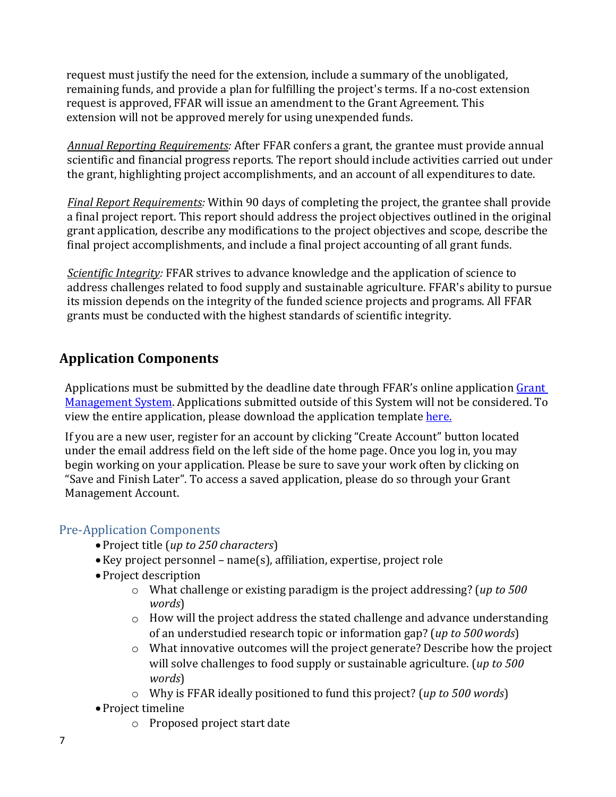request must justify the need for the extension, include a summary of the unobligated, remaining funds, and provide a plan for fulfilling the project's terms. If a no-cost extension request is approved, FFAR will issue an amendment to the Grant Agreement. This extension will not be approved merely for using unexpended funds.

*Annual Reporting Requirements:* After FFAR confers a grant, the grantee must provide annual scientific and financial progress reports. The report should include activities carried out under the grant, highlighting project accomplishments, and an account of all expenditures to date.

*Final Report Requirements:* Within 90 days of completing the project, the grantee shall provide a final project report. This report should address the project objectives outlined in the original grant application, describe any modifications to the project objectives and scope, describe the final project accomplishments, and include a final project accounting of all grant funds.

*Scientific Integrity:* FFAR strives to advance knowledge and the application of science to address challenges related to food supply and sustainable agriculture. FFAR's ability to pursue its mission depends on the integrity of the funded science projects and programs. All FFAR grants must be conducted with the highest standards of scientific integrity.

## **Application Components**

Applications must be submitted by the deadline date through FFAR's online application Grant [Management System.](https://www.grantrequest.com/SID_6242) Applications submitted outside of this System will not be considered. To view the entire application, please download the application templat[e here.](https://foundationfar.org/wp-content/uploads/2022/02/2022-Seeding-Solutions-Application.pdf)

If you are a new user, register for an account by clicking "Create Account" button located under the email address field on the left side of the home page. Once you log in, you may begin working on your application. Please be sure to save your work often by clicking on "Save and Finish Later". To access a saved application, please do so through your Grant Management Account.

## Pre-Application Components

- •Project title (*up to 250 characters*)
- •Key project personnel name(s), affiliation, expertise, project role
- •Project description
	- o What challenge or existing paradigm is the project addressing? (*up to 500 words*)
	- o How will the project address the stated challenge and advance understanding of an understudied research topic or information gap? (*up to 500words*)
	- o What innovative outcomes will the project generate? Describe how the project will solve challenges to food supply or sustainable agriculture. (*up to 500 words*)
	- o Why is FFAR ideally positioned to fund this project? (*up to 500 words*)
- •Project timeline
	- o Proposed project start date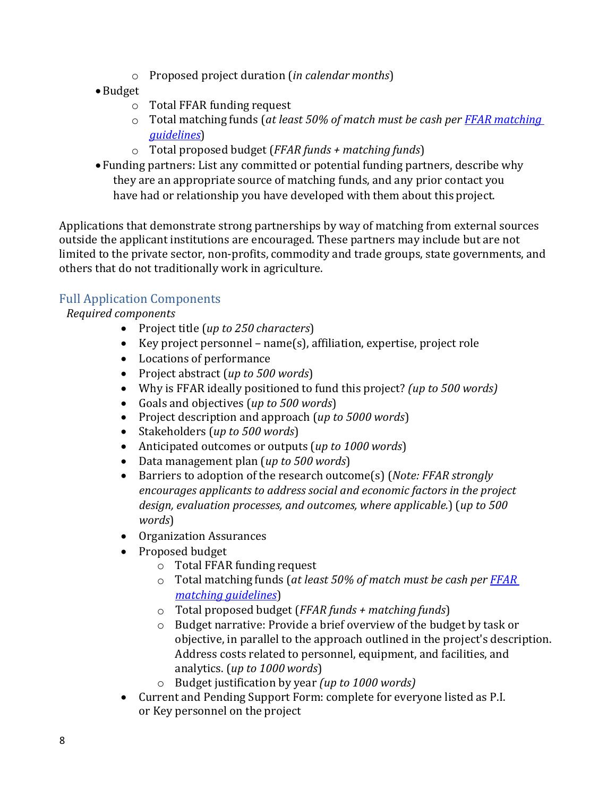- o Proposed project duration (*in calendar months*)
- •Budget
	- o Total FFAR funding request
	- o Total matching funds (*at least 50% of match must be cash per [FFAR matching](https://foundationfar.org/grants-funding/resources/matching-funds/)  [guidelines](https://foundationfar.org/grants-funding/resources/matching-funds/)*)
	- o Total proposed budget (*FFAR funds + matching funds*)
- Funding partners: List any committed or potential funding partners, describe why they are an appropriate source of matching funds, and any prior contact you have had or relationship you have developed with them about this project.

Applications that demonstrate strong partnerships by way of matching from external sources outside the applicant institutions are encouraged. These partners may include but are not limited to the private sector, non-profits, commodity and trade groups, state governments, and others that do not traditionally work in agriculture.

### Full Application Components

*Required components*

- Project title (*up to 250 characters*)
- Key project personnel name(s), affiliation, expertise, project role
- Locations of performance
- Project abstract (*up to 500 words*)
- Why is FFAR ideally positioned to fund this project? *(up to 500 words)*
- Goals and objectives (*up to 500 words*)
- Project description and approach (*up to 5000 words*)
- Stakeholders (*up to 500 words*)
- Anticipated outcomes or outputs (*up to 1000 words*)
- Data management plan (*up to 500 words*)
- Barriers to adoption of the research outcome(s) (*Note: FFAR strongly encourages applicants to address social and economic factors in the project design, evaluation processes, and outcomes, where applicable.*) (*up to 500 words*)
- Organization Assurances
- Proposed budget
	- o Total FFAR funding request
	- o Total matching funds (*at least 50% of match must be cash per [FFAR](https://foundationfar.org/grants-funding/resources/matching-funds/)  [matching guidelines](https://foundationfar.org/grants-funding/resources/matching-funds/)*)
	- o Total proposed budget (*FFAR funds + matching funds*)
	- o Budget narrative: Provide a brief overview of the budget by task or objective, in parallel to the approach outlined in the project's description. Address costs related to personnel, equipment, and facilities, and analytics. (*up to 1000 words*)
	- o Budget justification by year *(up to 1000 words)*
- Current and Pending Support Form: complete for everyone listed as P.I. or Key personnel on the project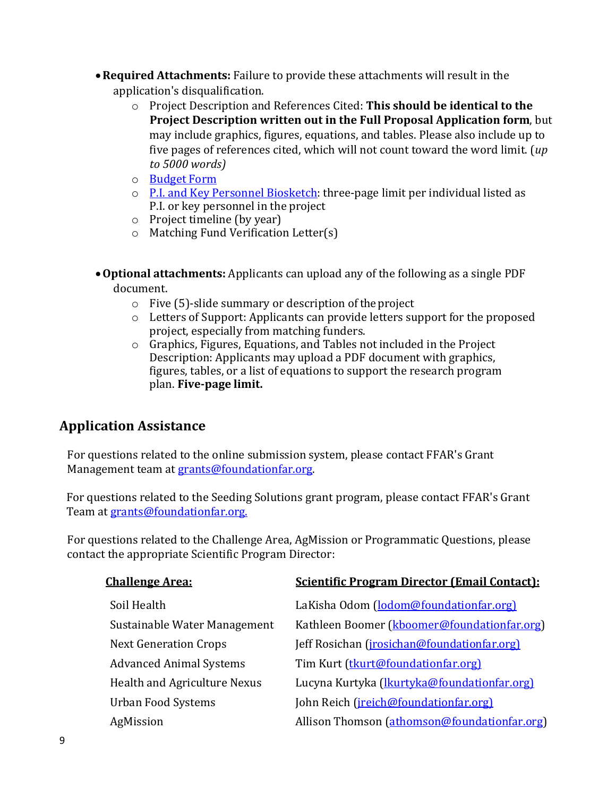- •**Required Attachments:** Failure to provide these attachments will result in the application's disqualification.
	- o Project Description and References Cited: **This should be identical to the Project Description written out in the Full Proposal Application form**, but may include graphics, figures, equations, and tables. Please also include up to five pages of references cited, which will not count toward the word limit. (*up to 5000 words)*
	- o [Budget](http://foundationfar.org/grants/applicant-resources/sample-forms/) Form
	- o [P.I. and Key Personnel Biosketch:](http://foundationfar.org/grants/applicant-resources/biosketch-instructions/) three-page limit per individual listed as P.I. or key personnel in the project
	- o Project timeline (by year)
	- o Matching Fund Verification Letter(s)
- •**Optional attachments:** Applicants can upload any of the following as a single PDF document.
	- o Five (5)-slide summary or description of the project
	- o Letters of Support: Applicants can provide letters support for the proposed project, especially from matching funders.
	- o Graphics, Figures, Equations, and Tables not included in the Project Description: Applicants may upload a PDF document with graphics, figures, tables, or a list of equations to support the research program plan. **Five-page limit.**

## **Application Assistance**

For questions related to the online submission system, please contact FFAR's Grant Management team at [grants@foundationfar.org.](mailto:grants@foundationfar.org)

For questions related to the Seeding Solutions grant program, please contact FFAR's Grant Team at [grants@foundationfar.org.](mailto:grants@foundationfar.org)

For questions related to the Challenge Area, AgMission or Programmatic Questions, please contact the appropriate Scientific Program Director:

| <b>Challenge Area:</b>         | <b>Scientific Program Director (Email Contact):</b>  |
|--------------------------------|------------------------------------------------------|
| Soil Health                    | LaKisha Odom (lodom@foundationfar.org)               |
| Sustainable Water Management   | Kathleen Boomer (kboomer@foundationfar.org)          |
| <b>Next Generation Crops</b>   | Jeff Rosichan ( <i>jrosichan@foundationfar.org</i> ) |
| <b>Advanced Animal Systems</b> | Tim Kurt (tkurt@foundationfar.org)                   |
| Health and Agriculture Nexus   | Lucyna Kurtyka (lkurtyka@foundationfar.org)          |
| <b>Urban Food Systems</b>      | John Reich (jreich@foundationfar.org)                |
| AgMission                      | Allison Thomson (athomson@foundationfar.org)         |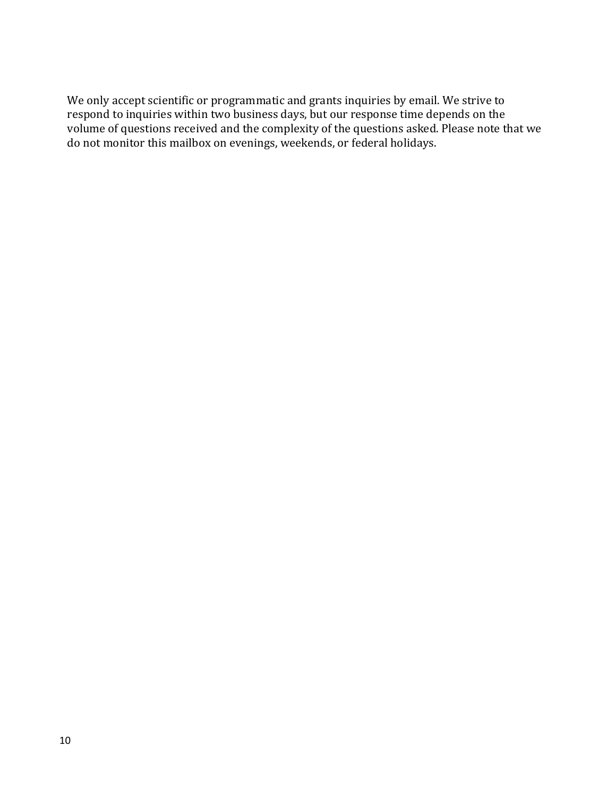We only accept scientific or programmatic and grants inquiries by email. We strive to respond to inquiries within two business days, but our response time depends on the volume of questions received and the complexity of the questions asked. Please note that we do not monitor this mailbox on evenings, weekends, or federal holidays.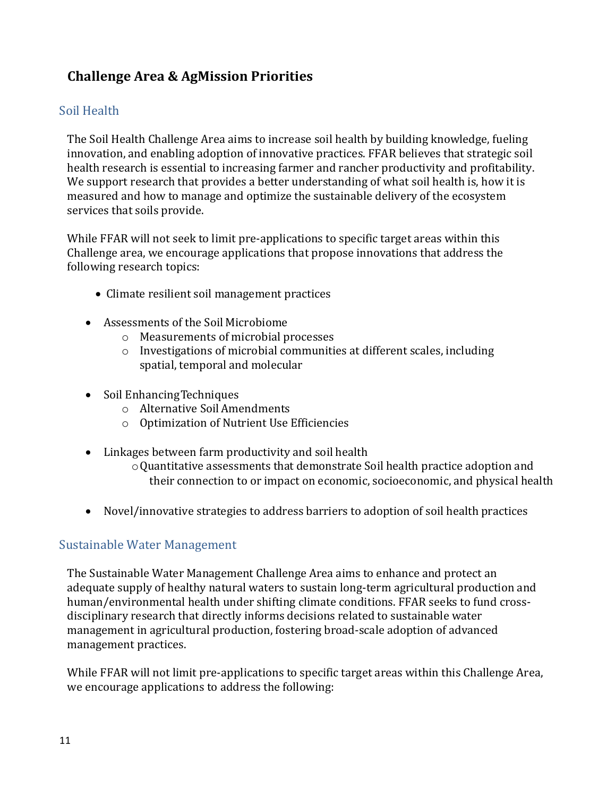## **Challenge Area & AgMission Priorities**

### <span id="page-10-0"></span>Soil Health

The Soil Health Challenge Area aims to increase soil health by building knowledge, fueling innovation, and enabling adoption of innovative practices. FFAR believes that strategic soil health research is essential to increasing farmer and rancher productivity and profitability. We support research that provides a better understanding of what soil health is, how it is measured and how to manage and optimize the sustainable delivery of the ecosystem services that soils provide.

While FFAR will not seek to limit pre-applications to specific target areas within this Challenge area, we encourage applications that propose innovations that address the following research topics:

- Climate resilient soil management practices
- Assessments of the Soil Microbiome
	- o Measurements of microbial processes
	- o Investigations of microbial communities at different scales, including spatial, temporal and molecular
- Soil Enhancing Techniques
	- o Alternative Soil Amendments
	- o Optimization of Nutrient Use Efficiencies
- Linkages between farm productivity and soil health
	- oQuantitative assessments that demonstrate Soil health practice adoption and their connection to or impact on economic, socioeconomic, and physical health
- Novel/innovative strategies to address barriers to adoption of soil health practices

### <span id="page-10-1"></span>Sustainable Water Management

The Sustainable Water Management Challenge Area aims to enhance and protect an adequate supply of healthy natural waters to sustain long-term agricultural production and human/environmental health under shifting climate conditions. FFAR seeks to fund crossdisciplinary research that directly informs decisions related to sustainable water management in agricultural production, fostering broad-scale adoption of advanced management practices.

While FFAR will not limit pre-applications to specific target areas within this Challenge Area, we encourage applications to address the following: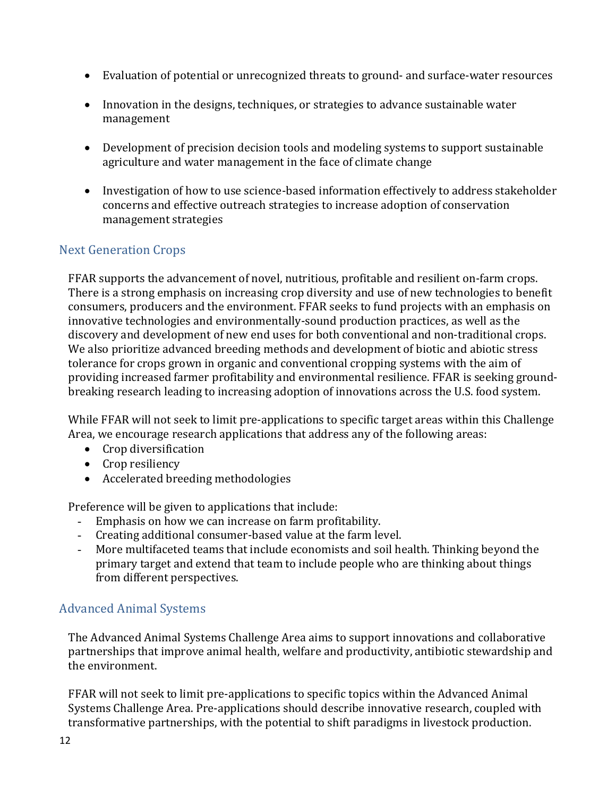- Evaluation of potential or unrecognized threats to ground- and surface-water resources
- Innovation in the designs, techniques, or strategies to advance sustainable water management
- Development of precision decision tools and modeling systems to support sustainable agriculture and water management in the face of climate change
- Investigation of how to use science-based information effectively to address stakeholder concerns and effective outreach strategies to increase adoption of conservation management strategies

### <span id="page-11-0"></span>Next Generation Crops

FFAR supports the advancement of novel, nutritious, profitable and resilient on-farm crops. There is a strong emphasis on increasing crop diversity and use of new technologies to benefit consumers, producers and the environment. FFAR seeks to fund projects with an emphasis on innovative technologies and environmentally-sound production practices, as well as the discovery and development of new end uses for both conventional and non-traditional crops. We also prioritize advanced breeding methods and development of biotic and abiotic stress tolerance for crops grown in organic and conventional cropping systems with the aim of providing increased farmer profitability and environmental resilience. FFAR is seeking groundbreaking research leading to increasing adoption of innovations across the U.S. food system.

While FFAR will not seek to limit pre-applications to specific target areas within this Challenge Area, we encourage research applications that address any of the following areas:

- Crop diversification
- Crop resiliency
- Accelerated breeding methodologies

Preference will be given to applications that include:<br>- Emphasis on how we can increase on farm profi

- Emphasis on how we can increase on farm profitability.
- Creating additional consumer-based value at the farm level.<br>- More multifaceted teams that include economists and soil he
- More multifaceted teams that include economists and soil health. Thinking beyond the primary target and extend that team to include people who are thinking about things from different perspectives.

### <span id="page-11-1"></span>Advanced Animal Systems

The Advanced Animal Systems Challenge Area aims to support innovations and collaborative partnerships that improve animal health, welfare and productivity, antibiotic stewardship and the environment.

FFAR will not seek to limit pre-applications to specific topics within the Advanced Animal Systems Challenge Area. Pre-applications should describe innovative research, coupled with transformative partnerships, with the potential to shift paradigms in livestock production.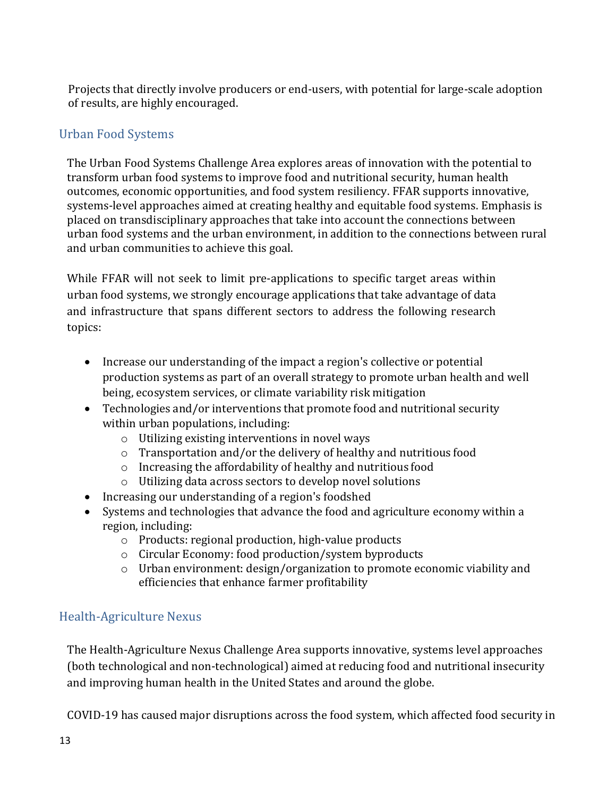Projects that directly involve producers or end-users, with potential for large-scale adoption of results, are highly encouraged.

### <span id="page-12-0"></span>Urban Food Systems

The Urban Food Systems Challenge Area explores areas of innovation with the potential to transform urban food systems to improve food and nutritional security, human health outcomes, economic opportunities, and food system resiliency. FFAR supports innovative, systems-level approaches aimed at creating healthy and equitable food systems. Emphasis is placed on transdisciplinary approaches that take into account the connections between urban food systems and the urban environment, in addition to the connections between rural and urban communities to achieve this goal.

While FFAR will not seek to limit pre-applications to specific target areas within urban food systems, we strongly encourage applications that take advantage of data and infrastructure that spans different sectors to address the following research topics:

- Increase our understanding of the impact a region's collective or potential production systems as part of an overall strategy to promote urban health and well being, ecosystem services, or climate variability risk mitigation
- Technologies and/or interventions that promote food and nutritional security within urban populations, including:
	- o Utilizing existing interventions in novel ways
	- o Transportation and/or the delivery of healthy and nutritious food
	- o Increasing the affordability of healthy and nutritious food
	- o Utilizing data across sectors to develop novel solutions
- Increasing our understanding of a region's foodshed
- Systems and technologies that advance the food and agriculture economy within a region, including:
	- o Products: regional production, high-value products
	- o Circular Economy: food production/system byproducts
	- o Urban environment: design/organization to promote economic viability and efficiencies that enhance farmer profitability

## <span id="page-12-1"></span>Health-Agriculture Nexus

The Health-Agriculture Nexus Challenge Area supports innovative, systems level approaches (both technological and non-technological) aimed at reducing food and nutritional insecurity and improving human health in the United States and around the globe.

COVID-19 has caused major disruptions across the food system, which affected food security in